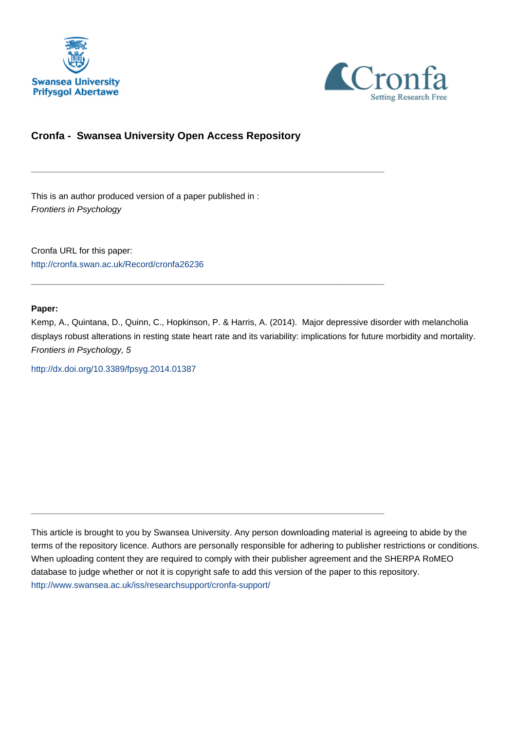



## **Cronfa - Swansea University Open Access Repository**

\_\_\_\_\_\_\_\_\_\_\_\_\_\_\_\_\_\_\_\_\_\_\_\_\_\_\_\_\_\_\_\_\_\_\_\_\_\_\_\_\_\_\_\_\_\_\_\_\_\_\_\_\_\_\_\_\_\_\_\_\_

 $\_$  , and the set of the set of the set of the set of the set of the set of the set of the set of the set of the set of the set of the set of the set of the set of the set of the set of the set of the set of the set of th

\_\_\_\_\_\_\_\_\_\_\_\_\_\_\_\_\_\_\_\_\_\_\_\_\_\_\_\_\_\_\_\_\_\_\_\_\_\_\_\_\_\_\_\_\_\_\_\_\_\_\_\_\_\_\_\_\_\_\_\_\_

This is an author produced version of a paper published in : Frontiers in Psychology

Cronfa URL for this paper: <http://cronfa.swan.ac.uk/Record/cronfa26236>

## **Paper:**

Kemp, A., Quintana, D., Quinn, C., Hopkinson, P. & Harris, A. (2014). Major depressive disorder with melancholia displays robust alterations in resting state heart rate and its variability: implications for future morbidity and mortality. Frontiers in Psychology, 5

<http://dx.doi.org/10.3389/fpsyg.2014.01387>

This article is brought to you by Swansea University. Any person downloading material is agreeing to abide by the terms of the repository licence. Authors are personally responsible for adhering to publisher restrictions or conditions. When uploading content they are required to comply with their publisher agreement and the SHERPA RoMEO database to judge whether or not it is copyright safe to add this version of the paper to this repository. [http://www.swansea.ac.uk/iss/researchsupport/cronfa-support/](http://www.swansea.ac.uk/iss/researchsupport/cronfa-support/ )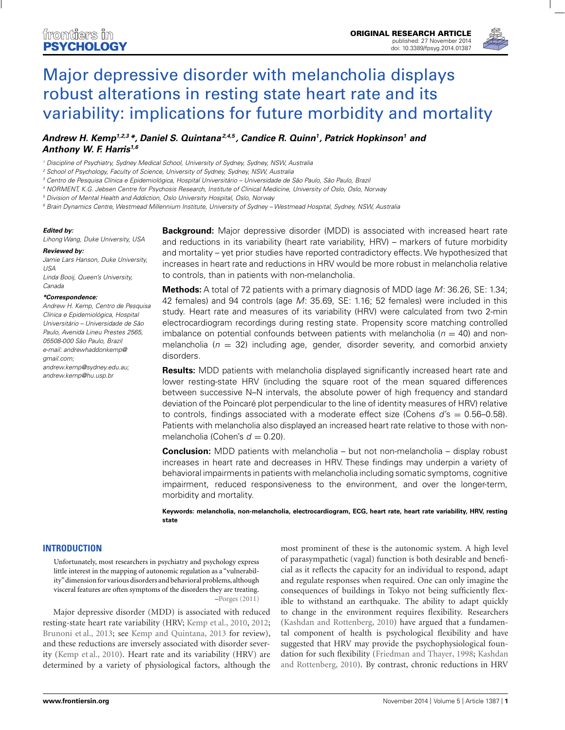

# Major depressive disorder with melancholia displays robust alterations in resting state heart rate and its variability: implications for future morbidity and mortality

## *Andrew H. Kemp1,2,3 \*, Daniel S. Quintana2,4,5 , Candice R. Quinn1, Patrick Hopkinson1 and Anthony W. F. Harris1,6*

<sup>1</sup> Discipline of Psychiatry, Sydney Medical School, University of Sydney, Sydney, NSW, Australia

<sup>2</sup> School of Psychology, Faculty of Science, University of Sydney, Sydney, NSW, Australia

<sup>3</sup> Centro de Pesquisa Clínica e Epidemiológica, Hospital Universitário – Universidade de São Paulo, São Paulo, Brazil

<sup>4</sup> NORMENT, K.G. Jebsen Centre for Psychosis Research, Institute of Clinical Medicine, University of Oslo, Oslo, Norway

<sup>5</sup> Division of Mental Health and Addiction, Oslo University Hospital, Oslo, Norway

<sup>6</sup> Brain Dynamics Centre, Westmead Millennium Institute, University of Sydney – Westmead Hospital, Sydney, NSW, Australia

#### *Edited by:*

Lihong Wang, Duke University, USA

#### *Reviewed by:*

Jamie Lars Hanson, Duke University, USA Linda Booij, Queen's University, Canada

#### *\*Correspondence:*

Andrew H. Kemp, Centro de Pesquisa Clínica e Epidemiológica, Hospital Universitário – Universidade de São Paulo, Avenida Lineu Prestes 2565, 05508-000 São Paulo, Brazil e-mail: andrewhaddonkemp@ gmail.com; andrew.kemp@sydney.edu.au; andrew.kemp@hu.usp.br

**Background:** Major depressive disorder (MDD) is associated with increased heart rate and reductions in its variability (heart rate variability, HRV) – markers of future morbidity and mortality – yet prior studies have reported contradictory effects. We hypothesized that increases in heart rate and reductions in HRV would be more robust in melancholia relative to controls, than in patients with non-melancholia.

**Methods:** A total of 72 patients with a primary diagnosis of MDD (age M: 36.26, SE: 1.34; 42 females) and 94 controls (age M: 35.69, SE: 1.16; 52 females) were included in this study. Heart rate and measures of its variability (HRV) were calculated from two 2-min electrocardiogram recordings during resting state. Propensity score matching controlled imbalance on potential confounds between patients with melancholia ( $n = 40$ ) and nonmelancholia ( $n = 32$ ) including age, gender, disorder severity, and comorbid anxiety disorders.

**Results:** MDD patients with melancholia displayed significantly increased heart rate and lower resting-state HRV (including the square root of the mean squared differences between successive N–N intervals, the absolute power of high frequency and standard deviation of the Poincaré plot perpendicular to the line of identity measures of HRV) relative to controls, findings associated with a moderate effect size (Cohens  $d's = 0.56-0.58$ ). Patients with melancholia also displayed an increased heart rate relative to those with nonmelancholia (Cohen's  $d = 0.20$ ).

**Conclusion:** MDD patients with melancholia – but not non-melancholia – display robust increases in heart rate and decreases in HRV. These findings may underpin a variety of behavioral impairments in patients with melancholia including somatic symptoms, cognitive impairment, reduced responsiveness to the environment, and over the longer-term, morbidity and mortality.

**Keywords: melancholia, non-melancholia, electrocardiogram, ECG, heart rate, heart rate variability, HRV, resting state**

#### **INTRODUCTION**

Unfortunately, most researchers in psychiatry and psychology express little interest in the mapping of autonomic regulation as a "vulnerability" dimension for various disorders and behavioral problems, although visceral features are often symptoms of the disorders they are treating. –Porges (2011)

Major depressive disorder (MDD) is associated with reduced resting-state heart rate variability (HRV; Kemp et al., 2010, 2012; Brunoni et al., 2013; see Kemp and Quintana, 2013 for review), and these reductions are inversely associated with disorder severity (Kemp et al., 2010). Heart rate and its variability (HRV) are determined by a variety of physiological factors, although the most prominent of these is the autonomic system. A high level of parasympathetic (vagal) function is both desirable and beneficial as it reflects the capacity for an individual to respond, adapt and regulate responses when required. One can only imagine the consequences of buildings in Tokyo not being sufficiently flexible to withstand an earthquake. The ability to adapt quickly to change in the environment requires flexibility. Researchers (Kashdan and Rottenberg, 2010) have argued that a fundamental component of health is psychological flexibility and have suggested that HRV may provide the psychophysiological foundation for such flexibility (Friedman and Thayer, 1998; Kashdan and Rottenberg, 2010). By contrast, chronic reductions in HRV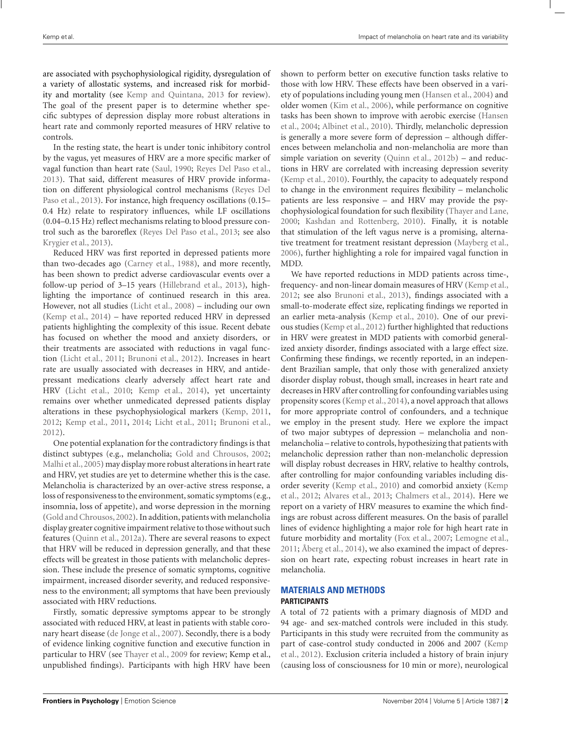are associated with psychophysiological rigidity, dysregulation of a variety of allostatic systems, and increased risk for morbidity and mortality (see Kemp and Quintana, 2013 for review). The goal of the present paper is to determine whether specific subtypes of depression display more robust alterations in heart rate and commonly reported measures of HRV relative to controls.

In the resting state, the heart is under tonic inhibitory control by the vagus, yet measures of HRV are a more specific marker of vagal function than heart rate (Saul, 1990; Reyes Del Paso et al., 2013). That said, different measures of HRV provide information on different physiological control mechanisms (Reyes Del Paso et al., 2013). For instance, high frequency oscillations (0.15– 0.4 Hz) relate to respiratory influences, while LF oscillations (0.04–0.15 Hz) reflect mechanisms relating to blood pressure control such as the baroreflex (Reyes Del Paso et al., 2013; see also Krygier et al., 2013).

Reduced HRV was first reported in depressed patients more than two-decades ago (Carney et al., 1988), and more recently, has been shown to predict adverse cardiovascular events over a follow-up period of 3–15 years (Hillebrand et al., 2013), highlighting the importance of continued research in this area. However, not all studies (Licht et al., 2008) – including our own (Kemp et al., 2014) – have reported reduced HRV in depressed patients highlighting the complexity of this issue. Recent debate has focused on whether the mood and anxiety disorders, or their treatments are associated with reductions in vagal function (Licht et al., 2011; Brunoni et al., 2012). Increases in heart rate are usually associated with decreases in HRV, and antidepressant medications clearly adversely affect heart rate and HRV (Licht et al., 2010; Kemp et al., 2014), yet uncertainty remains over whether unmedicated depressed patients display alterations in these psychophysiological markers (Kemp, 2011, 2012; Kemp et al., 2011, 2014; Licht et al., 2011; Brunoni et al., 2012).

One potential explanation for the contradictory findings is that distinct subtypes (e.g., melancholia; Gold and Chrousos, 2002; Malhi et al., 2005) may display more robust alterations in heart rate and HRV, yet studies are yet to determine whether this is the case. Melancholia is characterized by an over-active stress response, a loss of responsiveness to the environment, somatic symptoms (e.g., insomnia, loss of appetite), and worse depression in the morning (Gold and Chrousos, 2002). In addition, patients with melancholia display greater cognitive impairment relative to those without such features (Quinn et al., 2012a). There are several reasons to expect that HRV will be reduced in depression generally, and that these effects will be greatest in those patients with melancholic depression. These include the presence of somatic symptoms, cognitive impairment, increased disorder severity, and reduced responsiveness to the environment; all symptoms that have been previously associated with HRV reductions.

Firstly, somatic depressive symptoms appear to be strongly associated with reduced HRV, at least in patients with stable coronary heart disease (de Jonge et al., 2007). Secondly, there is a body of evidence linking cognitive function and executive function in particular to HRV (see Thayer et al., 2009 for review; Kemp et al., unpublished findings). Participants with high HRV have been shown to perform better on executive function tasks relative to those with low HRV. These effects have been observed in a variety of populations including young men (Hansen et al., 2004) and older women (Kim et al., 2006), while performance on cognitive tasks has been shown to improve with aerobic exercise (Hansen et al., 2004; Albinet et al., 2010). Thirdly, melancholic depression is generally a more severe form of depression – although differences between melancholia and non-melancholia are more than simple variation on severity (Quinn et al., 2012b) – and reductions in HRV are correlated with increasing depression severity (Kemp et al., 2010). Fourthly, the capacity to adequately respond to change in the environment requires flexibility – melancholic patients are less responsive – and HRV may provide the psychophysiological foundation for such flexibility (Thayer and Lane, 2000; Kashdan and Rottenberg, 2010). Finally, it is notable that stimulation of the left vagus nerve is a promising, alternative treatment for treatment resistant depression (Mayberg et al., 2006), further highlighting a role for impaired vagal function in MDD.

We have reported reductions in MDD patients across time-, frequency- and non-linear domain measures of HRV (Kemp et al., 2012; see also Brunoni et al., 2013), findings associated with a small-to-moderate effect size, replicating findings we reported in an earlier meta-analysis (Kemp et al., 2010). One of our previous studies (Kemp et al., 2012) further highlighted that reductions in HRV were greatest in MDD patients with comorbid generalized anxiety disorder, findings associated with a large effect size. Confirming these findings, we recently reported, in an independent Brazilian sample, that only those with generalized anxiety disorder display robust, though small, increases in heart rate and decreases in HRV after controlling for confounding variables using propensity scores (Kemp et al., 2014), a novel approach that allows for more appropriate control of confounders, and a technique we employ in the present study. Here we explore the impact of two major subtypes of depression – melancholia and nonmelancholia – relative to controls, hypothesizing that patients with melancholic depression rather than non-melancholic depression will display robust decreases in HRV, relative to healthy controls, after controlling for major confounding variables including disorder severity (Kemp et al., 2010) and comorbid anxiety (Kemp et al., 2012; Alvares et al., 2013; Chalmers et al., 2014). Here we report on a variety of HRV measures to examine the which findings are robust across different measures. On the basis of parallel lines of evidence highlighting a major role for high heart rate in future morbidity and mortality (Fox et al., 2007; Lemogne et al., 2011; Åberg et al., 2014), we also examined the impact of depression on heart rate, expecting robust increases in heart rate in melancholia.

## **MATERIALS AND METHODS PARTICIPANTS**

A total of 72 patients with a primary diagnosis of MDD and 94 age- and sex-matched controls were included in this study. Participants in this study were recruited from the community as part of case-control study conducted in 2006 and 2007 (Kemp et al., 2012). Exclusion criteria included a history of brain injury (causing loss of consciousness for 10 min or more), neurological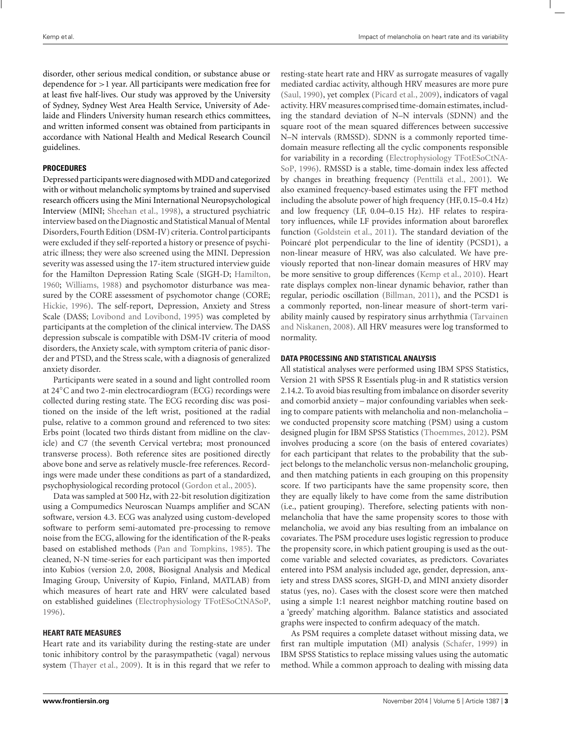disorder, other serious medical condition, or substance abuse or dependence for >1 year. All participants were medication free for at least five half-lives. Our study was approved by the University of Sydney, Sydney West Area Health Service, University of Adelaide and Flinders University human research ethics committees, and written informed consent was obtained from participants in accordance with National Health and Medical Research Council guidelines.

#### **PROCEDURES**

Depressed participants were diagnosed withMDD and categorized with or without melancholic symptoms by trained and supervised research officers using the Mini International Neuropsychological Interview (MINI; Sheehan et al., 1998), a structured psychiatric interview based on the Diagnostic and Statistical Manual of Mental Disorders, Fourth Edition (DSM-IV) criteria. Control participants were excluded if they self-reported a history or presence of psychiatric illness; they were also screened using the MINI. Depression severity was assessed using the 17-item structured interview guide for the Hamilton Depression Rating Scale (SIGH-D; Hamilton, 1960; Williams, 1988) and psychomotor disturbance was measured by the CORE assessment of psychomotor change (CORE; Hickie, 1996). The self-report, Depression, Anxiety and Stress Scale (DASS; Lovibond and Lovibond, 1995) was completed by participants at the completion of the clinical interview. The DASS depression subscale is compatible with DSM-IV criteria of mood disorders, the Anxiety scale, with symptom criteria of panic disorder and PTSD, and the Stress scale, with a diagnosis of generalized anxiety disorder.

Participants were seated in a sound and light controlled room at 24◦C and two 2-min electrocardiogram (ECG) recordings were collected during resting state. The ECG recording disc was positioned on the inside of the left wrist, positioned at the radial pulse, relative to a common ground and referenced to two sites: Erbs point (located two thirds distant from midline on the clavicle) and C7 (the seventh Cervical vertebra; most pronounced transverse process). Both reference sites are positioned directly above bone and serve as relatively muscle-free references. Recordings were made under these conditions as part of a standardized, psychophysiological recording protocol (Gordon et al., 2005).

Data was sampled at 500 Hz, with 22-bit resolution digitization using a Compumedics Neuroscan Nuamps amplifier and SCAN software, version 4.3. ECG was analyzed using custom-developed software to perform semi-automated pre-processing to remove noise from the ECG, allowing for the identification of the R-peaks based on established methods (Pan and Tompkins, 1985). The cleaned, N-N time-series for each participant was then imported into Kubios (version 2.0, 2008, Biosignal Analysis and Medical Imaging Group, University of Kupio, Finland, MATLAB) from which measures of heart rate and HRV were calculated based on established guidelines (Electrophysiology TFotESoCtNASoP, 1996).

#### **HEART RATE MEASURES**

Heart rate and its variability during the resting-state are under tonic inhibitory control by the parasympathetic (vagal) nervous system (Thayer et al., 2009). It is in this regard that we refer to resting-state heart rate and HRV as surrogate measures of vagally mediated cardiac activity, although HRV measures are more pure (Saul, 1990), yet complex (Picard et al., 2009), indicators of vagal activity. HRV measures comprised time-domain estimates, including the standard deviation of N–N intervals (SDNN) and the square root of the mean squared differences between successive N–N intervals (RMSSD). SDNN is a commonly reported timedomain measure reflecting all the cyclic components responsible for variability in a recording (Electrophysiology TFotESoCtNA-SoP, 1996). RMSSD is a stable, time-domain index less affected by changes in breathing frequency (Penttilä et al., 2001). We also examined frequency-based estimates using the FFT method including the absolute power of high frequency (HF, 0.15–0.4 Hz) and low frequency (LF, 0.04–0.15 Hz). HF relates to respiratory influences, while LF provides information about baroreflex function (Goldstein et al., 2011). The standard deviation of the Poincaré plot perpendicular to the line of identity (PCSD1), a non-linear measure of HRV, was also calculated. We have previously reported that non-linear domain measures of HRV may be more sensitive to group differences (Kemp et al., 2010). Heart rate displays complex non-linear dynamic behavior, rather than regular, periodic oscillation (Billman, 2011), and the PCSD1 is a commonly reported, non-linear measure of short-term variability mainly caused by respiratory sinus arrhythmia (Tarvainen and Niskanen, 2008). All HRV measures were log transformed to normality.

#### **DATA PROCESSING AND STATISTICAL ANALYSIS**

All statistical analyses were performed using IBM SPSS Statistics, Version 21 with SPSS R Essentials plug-in and R statistics version 2.14.2. To avoid bias resulting from imbalance on disorder severity and comorbid anxiety – major confounding variables when seeking to compare patients with melancholia and non-melancholia – we conducted propensity score matching (PSM) using a custom designed plugin for IBM SPSS Statistics (Thoemmes, 2012). PSM involves producing a score (on the basis of entered covariates) for each participant that relates to the probability that the subject belongs to the melancholic versus non-melancholic grouping, and then matching patients in each grouping on this propensity score. If two participants have the same propensity score, then they are equally likely to have come from the same distribution (i.e., patient grouping). Therefore, selecting patients with nonmelancholia that have the same propensity scores to those with melancholia, we avoid any bias resulting from an imbalance on covariates. The PSM procedure uses logistic regression to produce the propensity score, in which patient grouping is used as the outcome variable and selected covariates, as predictors. Covariates entered into PSM analysis included age, gender, depression, anxiety and stress DASS scores, SIGH-D, and MINI anxiety disorder status (yes, no). Cases with the closest score were then matched using a simple 1:1 nearest neighbor matching routine based on a 'greedy' matching algorithm. Balance statistics and associated graphs were inspected to confirm adequacy of the match.

As PSM requires a complete dataset without missing data, we first ran multiple imputation (MI) analysis (Schafer, 1999) in IBM SPSS Statistics to replace missing values using the automatic method. While a common approach to dealing with missing data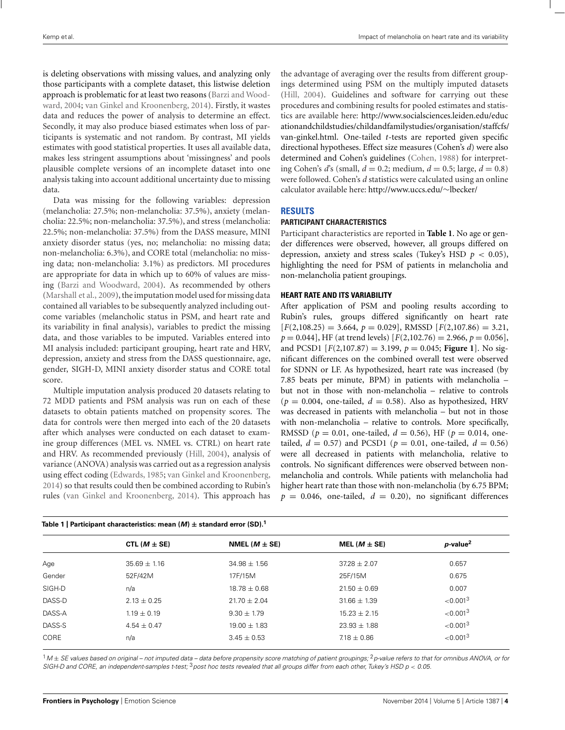is deleting observations with missing values, and analyzing only those participants with a complete dataset, this listwise deletion approach is problematic for at least two reasons (Barzi and Woodward, 2004; van Ginkel and Kroonenberg, 2014). Firstly, it wastes data and reduces the power of analysis to determine an effect. Secondly, it may also produce biased estimates when loss of participants is systematic and not random. By contrast, MI yields estimates with good statistical properties. It uses all available data, makes less stringent assumptions about 'missingness' and pools plausible complete versions of an incomplete dataset into one analysis taking into account additional uncertainty due to missing data.

Data was missing for the following variables: depression (melancholia: 27.5%; non-melancholia: 37.5%), anxiety (melancholia: 22.5%; non-melancholia: 37.5%), and stress (melancholia: 22.5%; non-melancholia: 37.5%) from the DASS measure, MINI anxiety disorder status (yes, no; melancholia: no missing data; non-melancholia: 6.3%), and CORE total (melancholia: no missing data; non-melancholia: 3.1%) as predictors. MI procedures are appropriate for data in which up to 60% of values are missing (Barzi and Woodward, 2004). As recommended by others (Marshall et al., 2009), the imputation model used for missing data contained all variables to be subsequently analyzed including outcome variables (melancholic status in PSM, and heart rate and its variability in final analysis), variables to predict the missing data, and those variables to be imputed. Variables entered into MI analysis included: participant grouping, heart rate and HRV, depression, anxiety and stress from the DASS questionnaire, age, gender, SIGH-D, MINI anxiety disorder status and CORE total score.

Multiple imputation analysis produced 20 datasets relating to 72 MDD patients and PSM analysis was run on each of these datasets to obtain patients matched on propensity scores. The data for controls were then merged into each of the 20 datasets after which analyses were conducted on each dataset to examine group differences (MEL vs. NMEL vs. CTRL) on heart rate and HRV. As recommended previously (Hill, 2004), analysis of variance (ANOVA) analysis was carried out as a regression analysis using effect coding (Edwards, 1985; van Ginkel and Kroonenberg, 2014) so that results could then be combined according to Rubin's rules (van Ginkel and Kroonenberg, 2014). This approach has the advantage of averaging over the results from different groupings determined using PSM on the multiply imputed datasets (Hill, 2004). Guidelines and software for carrying out these procedures and combining results for pooled estimates and statistics are available here: http://www.socialsciences.leiden.edu/educ ationandchildstudies/childandfamilystudies/organisation/staffcfs/ van-ginkel.html. One-tailed *t*-tests are reported given specific directional hypotheses. Effect size measures (Cohen's *d*) were also determined and Cohen's guidelines (Cohen, 1988) for interpreting Cohen's  $d$ 's (small,  $d = 0.2$ ; medium,  $d = 0.5$ ; large,  $d = 0.8$ ) were followed. Cohen's *d* statistics were calculated using an online calculator available here: http://www.uccs.edu/∼lbecker/

#### **RESULTS**

#### **PARTICIPANT CHARACTERISTICS**

Participant characteristics are reported in **Table 1**. No age or gender differences were observed, however, all groups differed on depression, anxiety and stress scales (Tukey's HSD  $p < 0.05$ ), highlighting the need for PSM of patients in melancholia and non-melancholia patient groupings.

#### **HEART RATE AND ITS VARIABILITY**

After application of PSM and pooling results according to Rubin's rules, groups differed significantly on heart rate [*F*(2,108.25) = 3.664, *p* = 0.029], RMSSD [*F*(2,107.86) = 3.21,  $p = 0.044$ , HF (at trend levels)  $[F(2,102.76) = 2.966, p = 0.056]$ , and PCSD1  $[F(2,107.87) = 3.199, p = 0.045;$  **Figure 1**. No significant differences on the combined overall test were observed for SDNN or LF. As hypothesized, heart rate was increased (by 7.85 beats per minute, BPM) in patients with melancholia – but not in those with non-melancholia – relative to controls  $(p = 0.004,$  one-tailed,  $d = 0.58$ ). Also as hypothesized, HRV was decreased in patients with melancholia – but not in those with non-melancholia – relative to controls. More specifically, RMSSD ( $p = 0.01$ , one-tailed,  $d = 0.56$ ), HF ( $p = 0.014$ , onetailed,  $d = 0.57$ ) and PCSD1 ( $p = 0.01$ , one-tailed,  $d = 0.56$ ) were all decreased in patients with melancholia, relative to controls. No significant differences were observed between nonmelancholia and controls. While patients with melancholia had higher heart rate than those with non-melancholia (by 6.75 BPM;  $p = 0.046$ , one-tailed,  $d = 0.20$ ), no significant differences

| Table 1   Participant characteristics: mean $(M)$ $\pm$ standard error (SD). <sup>1</sup> |                  |                    |                   |                         |
|-------------------------------------------------------------------------------------------|------------------|--------------------|-------------------|-------------------------|
|                                                                                           | CTL $(M \pm SE)$ | NMEL ( $M \pm$ SE) | MEL ( $M \pm$ SE) | $p$ -value <sup>2</sup> |
| Age                                                                                       | $35.69 \pm 1.16$ | $34.98 \pm 1.56$   | $37.28 \pm 2.07$  | 0.657                   |
| Gender                                                                                    | 52F/42M          | 17F/15M            | 25F/15M           | 0.675                   |
| SIGH-D                                                                                    | n/a              | $18.78 \pm 0.68$   | $21.50 \pm 0.69$  | 0.007                   |
| DASS-D                                                                                    | $2.13 \pm 0.25$  | $21.70 \pm 2.04$   | $31.66 \pm 1.39$  | ${<}0.0013$             |
| DASS-A                                                                                    | $1.19 \pm 0.19$  | $9.30 \pm 1.79$    | $15.23 \pm 2.15$  | ${<}0.0013$             |
| DASS-S                                                                                    | $4.54 + 0.47$    | $19.00 \pm 1.83$   | $23.93 + 1.88$    | ${<}0.0013$             |
| CORE                                                                                      | n/a              | $3.45 \pm 0.53$    | $7.18 \pm 0.86$   | ${<}0.0013$             |

 $^1$ M $\pm$  SE values based on original – not imputed data – data before propensity score matching of patient groupings; <sup>2</sup> p-value refers to that for omnibus ANOVA, or for SIGH-D and CORE, an independent-samples t-test; <sup>3</sup>post hoc tests revealed that all groups differ from each other, Tukey's HSD  $p < 0.05$ .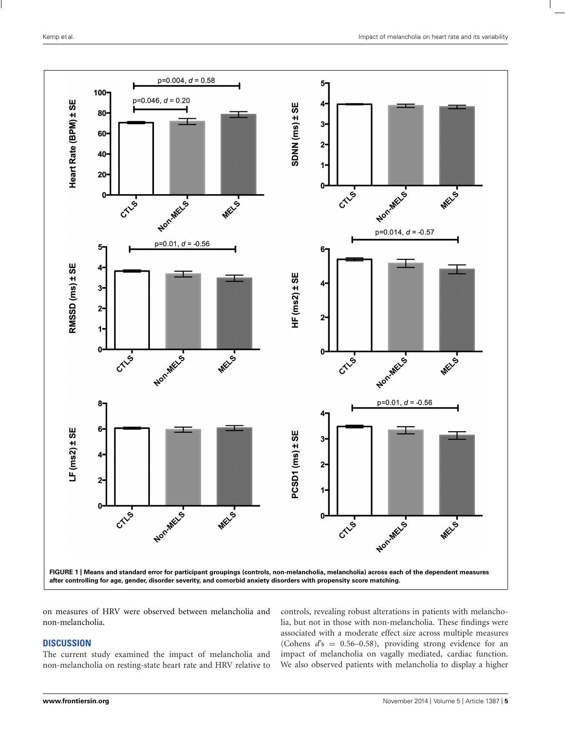

on measures of HRV were observed between melancholia and non-melancholia.

## **DISCUSSION**

The current study examined the impact of melancholia and non-melancholia on resting-state heart rate and HRV relative to controls, revealing robust alterations in patients with melancholia, but not in those with non-melancholia. These findings were associated with a moderate effect size across multiple measures (Cohens *d*'s = 0.56–0.58), providing strong evidence for an impact of melancholia on vagally mediated, cardiac function. We also observed patients with melancholia to display a higher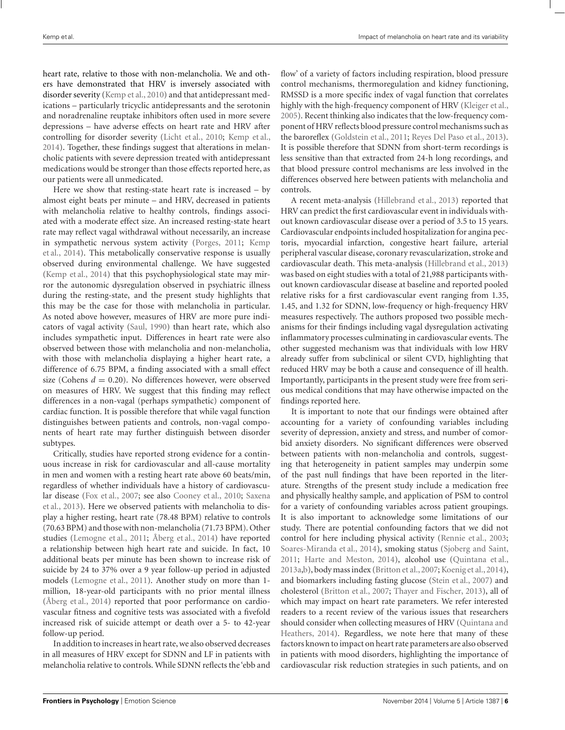heart rate, relative to those with non-melancholia. We and others have demonstrated that HRV is inversely associated with disorder severity (Kemp et al., 2010) and that antidepressant medications – particularly tricyclic antidepressants and the serotonin and noradrenaline reuptake inhibitors often used in more severe depressions – have adverse effects on heart rate and HRV after controlling for disorder severity (Licht et al., 2010; Kemp et al., 2014). Together, these findings suggest that alterations in melancholic patients with severe depression treated with antidepressant medications would be stronger than those effects reported here, as our patients were all unmedicated.

Here we show that resting-state heart rate is increased  $-$  by almost eight beats per minute – and HRV, decreased in patients with melancholia relative to healthy controls, findings associated with a moderate effect size. An increased resting-state heart rate may reflect vagal withdrawal without necessarily, an increase in sympathetic nervous system activity (Porges, 2011; Kemp et al., 2014). This metabolically conservative response is usually observed during environmental challenge. We have suggested (Kemp et al., 2014) that this psychophysiological state may mirror the autonomic dysregulation observed in psychiatric illness during the resting-state, and the present study highlights that this may be the case for those with melancholia in particular. As noted above however, measures of HRV are more pure indicators of vagal activity (Saul, 1990) than heart rate, which also includes sympathetic input. Differences in heart rate were also observed between those with melancholia and non-melancholia, with those with melancholia displaying a higher heart rate, a difference of 6.75 BPM, a finding associated with a small effect size (Cohens  $d = 0.20$ ). No differences however, were observed on measures of HRV. We suggest that this finding may reflect differences in a non-vagal (perhaps sympathetic) component of cardiac function. It is possible therefore that while vagal function distinguishes between patients and controls, non-vagal components of heart rate may further distinguish between disorder subtypes.

Critically, studies have reported strong evidence for a continuous increase in risk for cardiovascular and all-cause mortality in men and women with a resting heart rate above 60 beats/min, regardless of whether individuals have a history of cardiovascular disease (Fox et al., 2007; see also Cooney et al., 2010; Saxena et al., 2013). Here we observed patients with melancholia to display a higher resting, heart rate (78.48 BPM) relative to controls (70.63 BPM) and those with non-melancholia (71.73 BPM). Other studies (Lemogne et al., 2011; Åberg et al., 2014) have reported a relationship between high heart rate and suicide. In fact, 10 additional beats per minute has been shown to increase risk of suicide by 24 to 37% over a 9 year follow-up period in adjusted models (Lemogne et al., 2011). Another study on more than 1 million, 18-year-old participants with no prior mental illness (Åberg et al., 2014) reported that poor performance on cardiovascular fitness and cognitive tests was associated with a fivefold increased risk of suicide attempt or death over a 5- to 42-year follow-up period.

In addition to increases in heart rate, we also observed decreases in all measures of HRV except for SDNN and LF in patients with melancholia relative to controls. While SDNN reflects the 'ebb and flow' of a variety of factors including respiration, blood pressure control mechanisms, thermoregulation and kidney functioning, RMSSD is a more specific index of vagal function that correlates highly with the high-frequency component of HRV (Kleiger et al., 2005). Recent thinking also indicates that the low-frequency component of HRV reflects blood pressure control mechanisms such as the baroreflex (Goldstein et al., 2011; Reyes Del Paso et al., 2013). It is possible therefore that SDNN from short-term recordings is less sensitive than that extracted from 24-h long recordings, and that blood pressure control mechanisms are less involved in the differences observed here between patients with melancholia and controls.

A recent meta-analysis (Hillebrand et al., 2013) reported that HRV can predict the first cardiovascular event in individuals without known cardiovascular disease over a period of 3.5 to 15 years. Cardiovascular endpoints included hospitalization for angina pectoris, myocardial infarction, congestive heart failure, arterial peripheral vascular disease, coronary revascularization, stroke and cardiovascular death. This meta-analysis (Hillebrand et al., 2013) was based on eight studies with a total of 21,988 participants without known cardiovascular disease at baseline and reported pooled relative risks for a first cardiovascular event ranging from 1.35, 1.45, and 1.32 for SDNN, low-frequency or high-frequency HRV measures respectively. The authors proposed two possible mechanisms for their findings including vagal dysregulation activating inflammatory processes culminating in cardiovascular events. The other suggested mechanism was that individuals with low HRV already suffer from subclinical or silent CVD, highlighting that reduced HRV may be both a cause and consequence of ill health. Importantly, participants in the present study were free from serious medical conditions that may have otherwise impacted on the findings reported here.

It is important to note that our findings were obtained after accounting for a variety of confounding variables including severity of depression, anxiety and stress, and number of comorbid anxiety disorders. No significant differences were observed between patients with non-melancholia and controls, suggesting that heterogeneity in patient samples may underpin some of the past null findings that have been reported in the literature. Strengths of the present study include a medication free and physically healthy sample, and application of PSM to control for a variety of confounding variables across patient groupings. It is also important to acknowledge some limitations of our study. There are potential confounding factors that we did not control for here including physical activity (Rennie et al., 2003; Soares-Miranda et al., 2014), smoking status (Sjoberg and Saint, 2011; Harte and Meston, 2014), alcohol use (Quintana et al., 2013a,b), body mass index (Britton et al.,2007; Koenig et al.,2014), and biomarkers including fasting glucose (Stein et al., 2007) and cholesterol (Britton et al., 2007; Thayer and Fischer, 2013), all of which may impact on heart rate parameters. We refer interested readers to a recent review of the various issues that researchers should consider when collecting measures of HRV (Quintana and Heathers, 2014). Regardless, we note here that many of these factors known to impact on heart rate parameters are also observed in patients with mood disorders, highlighting the importance of cardiovascular risk reduction strategies in such patients, and on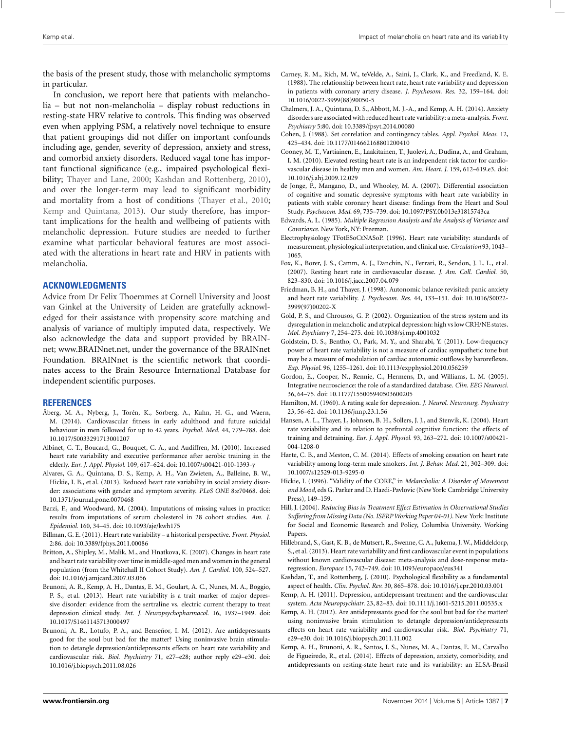the basis of the present study, those with melancholic symptoms in particular.

In conclusion, we report here that patients with melancholia – but not non-melancholia – display robust reductions in resting-state HRV relative to controls. This finding was observed even when applying PSM, a relatively novel technique to ensure that patient groupings did not differ on important confounds including age, gender, severity of depression, anxiety and stress, and comorbid anxiety disorders. Reduced vagal tone has important functional significance (e.g., impaired psychological flexibility; Thayer and Lane, 2000; Kashdan and Rottenberg, 2010), and over the longer-term may lead to significant morbidity and mortality from a host of conditions (Thayer et al., 2010; Kemp and Quintana, 2013). Our study therefore, has important implications for the health and wellbeing of patients with melancholic depression. Future studies are needed to further examine what particular behavioral features are most associated with the alterations in heart rate and HRV in patients with melancholia.

#### **ACKNOWLEDGMENTS**

Advice from Dr Felix Thoemmes at Cornell University and Joost van Ginkel at the University of Leiden are gratefully acknowledged for their assistance with propensity score matching and analysis of variance of multiply imputed data, respectively. We also acknowledge the data and support provided by BRAINnet; www.BRAINnet.net, under the governance of the BRAINnet Foundation. BRAINnet is the scientific network that coordinates access to the Brain Resource International Database for independent scientific purposes.

#### **REFERENCES**

- Åberg, M. A., Nyberg, J., Torén, K., Sörberg, A., Kuhn, H. G., and Waern, M. (2014). Cardiovascular fitness in early adulthood and future suicidal behaviour in men followed for up to 42 years. *Psychol. Med.* 44, 779–788. doi: 10.1017/S0033291713001207
- Albinet, C. T., Boucard, G., Bouquet, C. A., and Audiffren, M. (2010). Increased heart rate variability and executive performance after aerobic training in the elderly. *Eur. J. Appl. Physiol.* 109, 617–624. doi: 10.1007/s00421-010-1393-y
- Alvares, G. A., Quintana, D. S., Kemp, A. H., Van Zwieten, A., Balleine, B. W., Hickie, I. B., et al. (2013). Reduced heart rate variability in social anxiety disorder: associations with gender and symptom severity. *PLoS ONE* 8:e70468. doi: 10.1371/journal.pone.0070468
- Barzi, F., and Woodward, M. (2004). Imputations of missing values in practice: results from imputations of serum cholesterol in 28 cohort studies. *Am. J. Epidemiol.* 160, 34–45. doi: 10.1093/aje/kwh175
- Billman, G. E. (2011). Heart rate variability a historical perspective. *Front. Physiol.* 2:86. doi: 10.3389/fphys.2011.00086
- Britton, A., Shipley, M., Malik, M., and Hnatkova, K. (2007). Changes in heart rate and heart rate variability over time in middle-aged men and women in the general population (from the Whitehall II Cohort Study). *Am. J. Cardiol.* 100, 524–527. doi: 10.1016/j.amjcard.2007.03.056
- Brunoni, A. R., Kemp, A. H., Dantas, E. M., Goulart, A. C., Nunes, M. A., Boggio, P. S., et al. (2013). Heart rate variability is a trait marker of major depressive disorder: evidence from the sertraline vs. electric current therapy to treat depression clinical study. *Int. J. Neuropsychopharmacol.* 16, 1937–1949. doi: 10.1017/S1461145713000497
- Brunoni, A. R., Lotufo, P. A., and Benseñor, I. M. (2012). Are antidepressants good for the soul but bad for the matter? Using noninvasive brain stimulation to detangle depression/antidepressants effects on heart rate variability and cardiovascular risk. *Biol. Psychiatry* 71, e27–e28; author reply e29–e30. doi: 10.1016/j.biopsych.2011.08.026
- Carney, R. M., Rich, M. W., teVelde, A., Saini, J., Clark, K., and Freedland, K. E. (1988). The relationship between heart rate, heart rate variability and depression in patients with coronary artery disease. *J. Psychosom. Res.* 32, 159–164. doi: 10.1016/0022-3999(88)90050-5
- Chalmers, J. A., Quintana, D. S., Abbott, M. J.-A., and Kemp, A. H. (2014). Anxiety disorders are associated with reduced heart rate variability: a meta-analysis. *Front. Psychiatry* 5:80. doi: 10.3389/fpsyt.2014.00080
- Cohen, J. (1988). Set correlation and contingency tables. *Appl. Psychol. Meas.* 12, 425–434. doi: 10.1177/014662168801200410
- Cooney, M. T., Vartiainen, E., Laakitainen, T., Juolevi, A., Dudina, A., and Graham, I. M. (2010). Elevated resting heart rate is an independent risk factor for cardiovascular disease in healthy men and women. *Am. Heart. J.* 159, 612–619.e3. doi: 10.1016/j.ahj.2009.12.029
- de Jonge, P., Mangano, D., and Whooley, M. A. (2007). Differential association of cognitive and somatic depressive symptoms with heart rate variability in patients with stable coronary heart disease: findings from the Heart and Soul Study. *Psychosom. Med.* 69, 735–739. doi: 10.1097/PSY.0b013e31815743ca
- Edwards, A. L. (1985). *Multiple Regression Analysis and the Analysis of Variance and Covariance*. New York, NY: Freeman.
- Electrophysiology TFotESoCtNASoP. (1996). Heart rate variability: standards of measurement, physiological interpretation, and clinical use. *Circulation* 93, 1043– 1065.
- Fox, K., Borer, J. S., Camm, A. J., Danchin, N., Ferrari, R., Sendon, J. L. L., et al. (2007). Resting heart rate in cardiovascular disease. *J. Am. Coll. Cardiol.* 50, 823–830. doi: 10.1016/j.jacc.2007.04.079
- Friedman, B. H., and Thayer, J. (1998). Autonomic balance revisited: panic anxiety and heart rate variability. *J. Psychosom. Res.* 44, 133–151. doi: 10.1016/S0022- 3999(97)00202-X
- Gold, P. S., and Chrousos, G. P. (2002). Organization of the stress system and its dysregulation in melancholic and atypical depression: high vs low CRH/NE states. *Mol. Psychiatry* 7, 254–275. doi: 10.1038/sj.mp.4001032
- Goldstein, D. S., Bentho, O., Park, M. Y., and Sharabi, Y. (2011). Low-frequency power of heart rate variability is not a measure of cardiac sympathetic tone but may be a measure of modulation of cardiac autonomic outflows by baroreflexes. *Exp. Physiol.* 96, 1255–1261. doi: 10.1113/expphysiol.2010.056259
- Gordon, E., Cooper, N., Rennie, C., Hermens, D., and Williams, L. M. (2005). Integrative neuroscience: the role of a standardized database. *Clin. EEG Neurosci.* 36, 64–75. doi: 10.1177/155005940503600205
- Hamilton, M. (1960). A rating scale for depression. *J. Neurol. Neurosurg. Psychiatry* 23, 56–62. doi: 10.1136/jnnp.23.1.56
- Hansen, A. L., Thayer, J., Johnsen, B. H., Sollers, J. J., and Stenvik, K. (2004). Heart rate variability and its relation to prefrontal cognitive function: the effects of training and detraining. *Eur. J. Appl. Physiol.* 93, 263–272. doi: 10.1007/s00421- 004-1208-0
- Harte, C. B., and Meston, C. M. (2014). Effects of smoking cessation on heart rate variability among long-term male smokers. *Int. J. Behav. Med.* 21, 302–309. doi: 10.1007/s12529-013-9295-0
- Hickie, I. (1996). "Validity of the CORE," in *Melancholia: A Disorder of Movement and Mood*, eds G. Parker and D. Hazdi-Pavlovic (New York: Cambridge University Press), 149–159.
- Hill, J. (2004). *Reducing Bias in Treatment Effect Estimation in Observational Studies Suffering from Missing Data (No. ISERPWorking Paper 04-01)*. New York: Institute for Social and Economic Research and Policy, Columbia University. Working Papers.
- Hillebrand, S., Gast, K. B., de Mutsert, R., Swenne, C. A., Jukema, J. W., Middeldorp, S., et al. (2013). Heart rate variability and first cardiovascular event in populations without known cardiovascular disease: meta-analysis and dose-response metaregression. *Europace* 15, 742–749. doi: 10.1093/europace/eus341
- Kashdan, T., and Rottenberg, J. (2010). Psychological flexibility as a fundamental aspect of health. *Clin. Psychol. Rev.* 30, 865–878. doi: 10.1016/j.cpr.2010.03.001
- Kemp, A. H. (2011). Depression, antidepressant treatment and the cardiovascular system. *Acta Neuropsychiatr.* 23, 82–83. doi: 10.1111/j.1601-5215.2011.00535.x
- Kemp, A. H. (2012). Are antidepressants good for the soul but bad for the matter? using noninvasive brain stimulation to detangle depression/antidepressants effects on heart rate variability and cardiovascular risk. *Biol. Psychiatry* 71, e29–e30. doi: 10.1016/j.biopsych.2011.11.002
- Kemp, A. H., Brunoni, A. R., Santos, I. S., Nunes, M. A., Dantas, E. M., Carvalho de Figueiredo, R., et al. (2014). Effects of depression, anxiety, comorbidity, and antidepressants on resting-state heart rate and its variability: an ELSA-Brasil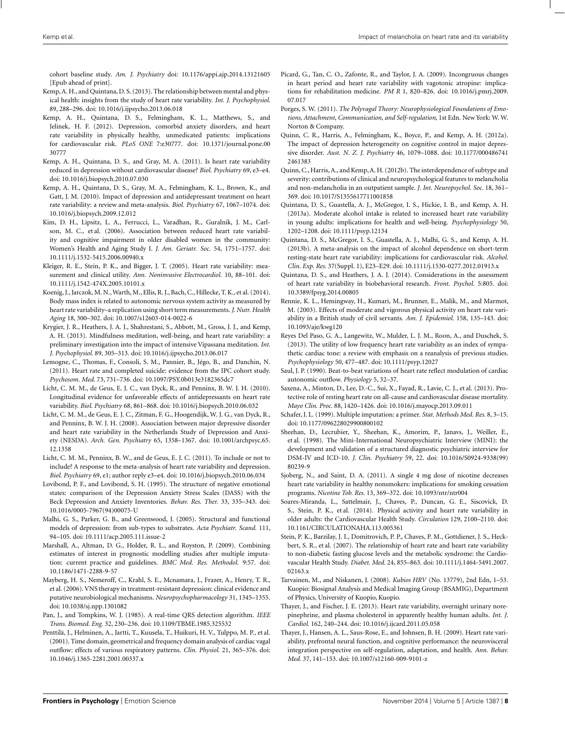cohort baseline study. *Am. J. Psychiatry* doi: 10.1176/appi.ajp.2014.13121605 [Epub ahead of print].

- Kemp, A. H., and Quintana, D. S. (2013). The relationship between mental and physical health: insights from the study of heart rate variability. *Int. J. Psychophysiol.* 89, 288–296. doi: 10.1016/j.ijpsycho.2013.06.018
- Kemp, A. H., Quintana, D. S., Felmingham, K. L., Matthews, S., and Jelinek, H. F. (2012). Depression, comorbid anxiety disorders, and heart rate variability in physically healthy, unmedicated patients: implications for cardiovascular risk. *PLoS ONE* 7:e30777. doi: 10.1371/journal.pone.00 30777
- Kemp, A. H., Quintana, D. S., and Gray, M. A. (2011). Is heart rate variability reduced in depression without cardiovascular disease? *Biol. Psychiatry* 69, e3–e4. doi: 10.1016/j.biopsych.2010.07.030
- Kemp, A. H., Quintana, D. S., Gray, M. A., Felmingham, K. L., Brown, K., and Gatt, J. M. (2010). Impact of depression and antidepressant treatment on heart rate variability: a review and meta-analysis. *Biol. Psychiatry* 67, 1067–1074. doi: 10.1016/j.biopsych.2009.12.012
- Kim, D. H., Lipsitz, L. A., Ferrucci, L., Varadhan, R., Guralnik, J. M., Carlson, M. C., et al. (2006). Association between reduced heart rate variability and cognitive impairment in older disabled women in the community: Women's Health and Aging Study I. *J. Am. Geriatr. Soc.* 54, 1751–1757. doi: 10.1111/j.1532-5415.2006.00940.x
- Kleiger, R. E., Stein, P. K., and Bigger, J. T. (2005). Heart rate variability: measurement and clinical utility. *Ann. Noninvasive Electrocardiol.* 10, 88–101. doi: 10.1111/j.1542-474X.2005.10101.x
- Koenig, J., Jarczok, M. N., Warth, M., Ellis, R. J., Bach, C., Hillecke, T. K., et al. (2014). Body mass index is related to autonomic nervous system activity as measured by heart rate variability–a replication using short term measurements. *J. Nutr. Health Aging* 18, 300–302. doi: 10.1007/s12603-014-0022-6
- Krygier, J. R., Heathers, J. A. J., Shahrestani, S., Abbott, M., Gross, J. J., and Kemp, A. H. (2013). Mindfulness meditation, well-being, and heart rate variability: a preliminary investigation into the impact of intensive Vipassana meditation. *Int. J. Psychophysiol.* 89, 305–313. doi: 10.1016/j.ijpsycho.2013.06.017
- Lemogne, C., Thomas, F., Consoli, S. M., Pannier, B., Jégo, B., and Danchin, N. (2011). Heart rate and completed suicide: evidence from the IPC cohort study. *Psychosom. Med.* 73, 731–736. doi: 10.1097/PSY.0b013e3182365dc7
- Licht, C. M. M., de Geus, E. J. C., van Dyck, R., and Penninx, B. W. J. H. (2010). Longitudinal evidence for unfavorable effects of antidepressants on heart rate variability. *Biol. Psychiatry* 68, 861–868. doi: 10.1016/j.biopsych.2010.06.032
- Licht, C. M. M., de Geus, E. J. C., Zitman, F. G., Hoogendijk, W. J. G., van Dyck, R., and Penninx, B. W. J. H. (2008). Association between major depressive disorder and heart rate variability in the Netherlands Study of Depression and Anxiety (NESDA). *Arch. Gen. Psychiatry* 65, 1358–1367. doi: 10.1001/archpsyc.65. 12.1358
- Licht, C. M. M., Penninx, B. W., and de Geus, E. J. C. (2011). To include or not to include? A response to the meta-analysis of heart rate variability and depression. *Biol. Psychiatry* 69, e1; author reply e3–e4. doi: 10.1016/j.biopsych.2010.06.034
- Lovibond, P. F., and Lovibond, S. H. (1995). The structure of negative emotional states: comparison of the Depression Anxiety Stress Scales (DASS) with the Beck Depression and Anxiety Inventories. *Behav. Res. Ther.* 33, 335–343. doi: 10.1016/0005-7967(94)00075-U
- Malhi, G. S., Parker, G. B., and Greenwood, J. (2005). Structural and functional models of depression: from sub-types to substrates. *Acta Psychiatr. Scand.* 111, 94–105. doi: 10.1111/acp.2005.111.issue-2
- Marshall, A., Altman, D. G., Holder, R. L., and Royston, P. (2009). Combining estimates of interest in prognostic modelling studies after multiple imputation: current practice and guidelines. *BMC Med. Res. Methodol.* 9:57. doi: 10.1186/1471-2288-9-57
- Mayberg, H. S., Nemeroff, C., Krahl, S. E., Mcnamara, J., Frazer, A., Henry, T. R., et al. (2006). VNS therapy in treatment-resistant depression: clinical evidence and putative neurobiological mechanisms. *Neuropsychopharmacology* 31, 1345–1355. doi: 10.1038/sj.npp.1301082
- Pan, J., and Tompkins, W. J. (1985). A real-time QRS detection algorithm. *IEEE Trans. Biomed. Eng.* 32, 230–236. doi: 10.1109/TBME.1985.325532
- Penttilä, J., Helminen, A., Jartti, T., Kuusela, T., Huikuri, H. V., Tulppo, M. P., et al. (2001). Time domain, geometrical and frequency domain analysis of cardiac vagal outflow: effects of various respiratory patterns. *Clin. Physiol.* 21, 365–376. doi: 10.1046/j.1365-2281.2001.00337.x
- Picard, G., Tan, C. O., Zafonte, R., and Taylor, J. A. (2009). Incongruous changes in heart period and heart rate variability with vagotonic atropine: implications for rehabilitation medicine. *PM R* 1, 820–826. doi: 10.1016/j.pmrj.2009. 07.017
- Porges, S. W. (2011). *The Polyvagal Theory: Neurophysiological Foundations of Emotions, Attachment, Communication, and Self-regulation*, 1st Edn. New York: W. W. Norton & Company.
- Quinn, C. R., Harris, A., Felmingham, K., Boyce, P., and Kemp, A. H. (2012a). The impact of depression heterogeneity on cognitive control in major depressive disorder. *Aust. N. Z. J. Psychiatry* 46, 1079–1088. doi: 10.1177/000486741 2461383
- Quinn, C., Harris, A., and Kemp, A. H. (2012b). The interdependence of subtype and severity: contributions of clinical and neuropsychological features to melancholia and non-melancholia in an outpatient sample. *J. Int. Neuropsychol. Soc.* 18, 361– 369. doi: 10.1017/S1355617711001858
- Quintana, D. S., Guastella, A. J., McGregor, I. S., Hickie, I. B., and Kemp, A. H. (2013a). Moderate alcohol intake is related to increased heart rate variability in young adults: implications for health and well-being. *Psychophysiology* 50, 1202–1208. doi: 10.1111/psyp.12134
- Quintana, D. S., McGregor, I. S., Guastella, A. J., Malhi, G. S., and Kemp, A. H. (2013b). A meta-analysis on the impact of alcohol dependence on short-term resting-state heart rate variability: implications for cardiovascular risk. *Alcohol. Clin. Exp. Res.* 37(Suppl. 1), E23–E29. doi: 10.1111/j.1530-0277.2012.01913.x
- Quintana, D. S., and Heathers, J. A. J. (2014). Considerations in the assessment of heart rate variability in biobehavioral research. *Front. Psychol.* 5:805. doi: 10.3389/fpsyg.2014.00805
- Rennie, K. L., Hemingway, H., Kumari, M., Brunner, E., Malik, M., and Marmot, M. (2003). Effects of moderate and vigorous physical activity on heart rate variability in a British study of civil servants. *Am. J. Epidemiol.* 158, 135–143. doi: 10.1093/aje/kwg120
- Reyes Del Paso, G. A., Langewitz, W., Mulder, L. J. M., Roon, A., and Duschek, S. (2013). The utility of low frequency heart rate variability as an index of sympathetic cardiac tone: a review with emphasis on a reanalysis of previous studies. *Psychophysiology* 50, 477–487. doi: 10.1111/psyp.12027
- Saul, J. P. (1990). Beat-to-beat variations of heart rate reflect modulation of cardiac autonomic outflow. *Physiology* 5, 32–37.
- Saxena, A., Minton, D., Lee, D.-C., Sui, X., Fayad, R., Lavie, C. J., et al. (2013). Protective role of resting heart rate on all-cause and cardiovascular disease mortality. *Mayo Clin. Proc.* 88, 1420–1426. doi: 10.1016/j.mayocp.2013.09.011
- Schafer, J. L. (1999). Multiple imputation: a primer. *Stat. Methods Med. Res.* 8, 3–15. doi: 10.1177/096228029900800102
- Sheehan, D., Lecrubier, Y., Sheehan, K., Amorim, P., Janavs, J., Weiller, E., et al. (1998). The Mini-International Neuropsychiatric Interview (MINI): the development and validation of a structured diagnostic psychiatric interview for DSM-IV and ICD-10. *J. Clin. Psychiatry* 59, 22. doi: 10.1016/S0924-9338(99) 80239-9
- Sjoberg, N., and Saint, D. A. (2011). A single 4 mg dose of nicotine decreases heart rate variability in healthy nonsmokers: implications for smoking cessation programs. *Nicotine Tob. Res.* 13, 369–372. doi: 10.1093/ntr/ntr004
- Soares-Miranda, L., Sattelmair, J., Chaves, P., Duncan, G. E., Siscovick, D. S., Stein, P. K., et al. (2014). Physical activity and heart rate variability in older adults: the Cardiovascular Health Study. *Circulation* 129, 2100–2110. doi: 10.1161/CIRCULATIONAHA.113.005361
- Stein, P. K., Barzilay, J. I., Domitrovich, P. P., Chaves, P. M., Gottdiener, J. S., Heckbert, S. R., et al. (2007). The relationship of heart rate and heart rate variability to non-diabetic fasting glucose levels and the metabolic syndrome: the Cardiovascular Health Study. *Diabet. Med.* 24, 855–863. doi: 10.1111/j.1464-5491.2007. 02163.x
- Tarvainen, M., and Niskanen, J. (2008). *Kubios HRV* (No. 13779), 2nd Edn, 1–53. Kuopio: Biosignal Analysis and Medical Imaging Group (BSAMIG), Department of Physics, University of Kuopio, Kuopio.
- Thayer, J., and Fischer, J. E. (2013). Heart rate variability, overnight urinary norepinephrine, and plasma cholesterol in apparently healthy human adults. *Int. J. Cardiol.* 162, 240–244. doi: 10.1016/j.ijcard.2011.05.058
- Thayer, J., Hansen, A. L., Saus-Rose, E., and Johnsen, B. H. (2009). Heart rate variability, prefrontal neural function, and cognitive performance: the neurovisceral integration perspective on self-regulation, adaptation, and health. *Ann. Behav. Med.* 37, 141–153. doi: 10.1007/s12160-009-9101-z